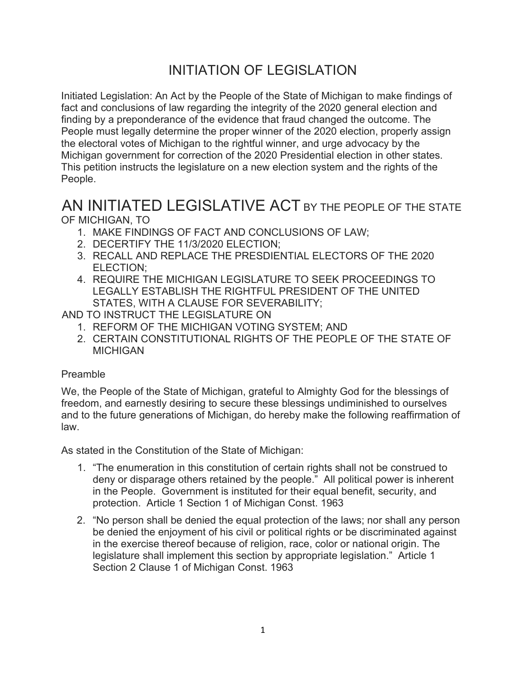## INITIATION OF LEGISLATION

Initiated Legislation: An Act by the People of the State of Michigan to make findings of fact and conclusions of law regarding the integrity of the 2020 general election and finding by a preponderance of the evidence that fraud changed the outcome. The People must legally determine the proper winner of the 2020 election, properly assign the electoral votes of Michigan to the rightful winner, and urge advocacy by the Michigan government for correction of the 2020 Presidential election in other states. This petition instructs the legislature on a new election system and the rights of the People.

## AN INITIATED LEGISLATIVE ACT BY THE PEOPLE OF THE STATE OF MICHIGAN, TO

- 1. MAKE FINDINGS OF FACT AND CONCLUSIONS OF LAW;
- 2. DECERTIFY THE 11/3/2020 ELECTION;
- 3. RECALL AND REPLACE THE PRESDIENTIAL ELECTORS OF THE 2020 ELECTION;
- 4. REQUIRE THE MICHIGAN LEGISLATURE TO SEEK PROCEEDINGS TO LEGALLY ESTABLISH THE RIGHTFUL PRESIDENT OF THE UNITED STATES, WITH A CLAUSE FOR SEVERABILITY;

AND TO INSTRUCT THE LEGISLATURE ON

- 1. REFORM OF THE MICHIGAN VOTING SYSTEM; AND
- 2. CERTAIN CONSTITUTIONAL RIGHTS OF THE PEOPLE OF THE STATE OF **MICHIGAN**

## Preamble

We, the People of the State of Michigan, grateful to Almighty God for the blessings of freedom, and earnestly desiring to secure these blessings undiminished to ourselves and to the future generations of Michigan, do hereby make the following reaffirmation of law.

As stated in the Constitution of the State of Michigan:

- 1. "The enumeration in this constitution of certain rights shall not be construed to deny or disparage others retained by the people." All political power is inherent in the People. Government is instituted for their equal benefit, security, and protection. Article 1 Section 1 of Michigan Const. 1963
- 2. "No person shall be denied the equal protection of the laws; nor shall any person be denied the enjoyment of his civil or political rights or be discriminated against in the exercise thereof because of religion, race, color or national origin. The legislature shall implement this section by appropriate legislation." Article 1 Section 2 Clause 1 of Michigan Const. 1963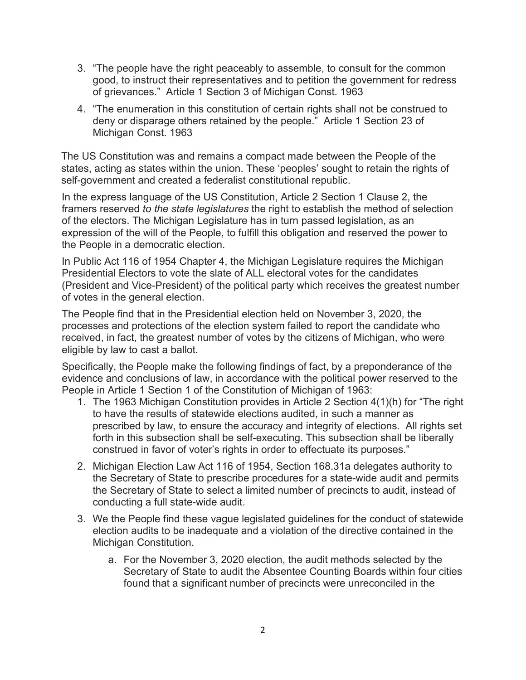- 3. "The people have the right peaceably to assemble, to consult for the common good, to instruct their representatives and to petition the government for redress of grievances." Article 1 Section 3 of Michigan Const. 1963
- 4. "The enumeration in this constitution of certain rights shall not be construed to deny or disparage others retained by the people." Article 1 Section 23 of Michigan Const. 1963

The US Constitution was and remains a compact made between the People of the states, acting as states within the union. These 'peoples' sought to retain the rights of self-government and created a federalist constitutional republic.

In the express language of the US Constitution, Article 2 Section 1 Clause 2, the framers reserved *to the state legislatures* the right to establish the method of selection of the electors. The Michigan Legislature has in turn passed legislation, as an expression of the will of the People, to fulfill this obligation and reserved the power to the People in a democratic election.

In Public Act 116 of 1954 Chapter 4, the Michigan Legislature requires the Michigan Presidential Electors to vote the slate of ALL electoral votes for the candidates (President and Vice-President) of the political party which receives the greatest number of votes in the general election.

The People find that in the Presidential election held on November 3, 2020, the processes and protections of the election system failed to report the candidate who received, in fact, the greatest number of votes by the citizens of Michigan, who were eligible by law to cast a ballot.

Specifically, the People make the following findings of fact, by a preponderance of the evidence and conclusions of law, in accordance with the political power reserved to the People in Article 1 Section 1 of the Constitution of Michigan of 1963:

- 1. The 1963 Michigan Constitution provides in Article 2 Section 4(1)(h) for "The right to have the results of statewide elections audited, in such a manner as prescribed by law, to ensure the accuracy and integrity of elections. All rights set forth in this subsection shall be self-executing. This subsection shall be liberally construed in favor of voter's rights in order to effectuate its purposes."
- 2. Michigan Election Law Act 116 of 1954, Section 168.31a delegates authority to the Secretary of State to prescribe procedures for a state-wide audit and permits the Secretary of State to select a limited number of precincts to audit, instead of conducting a full state-wide audit.
- 3. We the People find these vague legislated guidelines for the conduct of statewide election audits to be inadequate and a violation of the directive contained in the Michigan Constitution.
	- a. For the November 3, 2020 election, the audit methods selected by the Secretary of State to audit the Absentee Counting Boards within four cities found that a significant number of precincts were unreconciled in the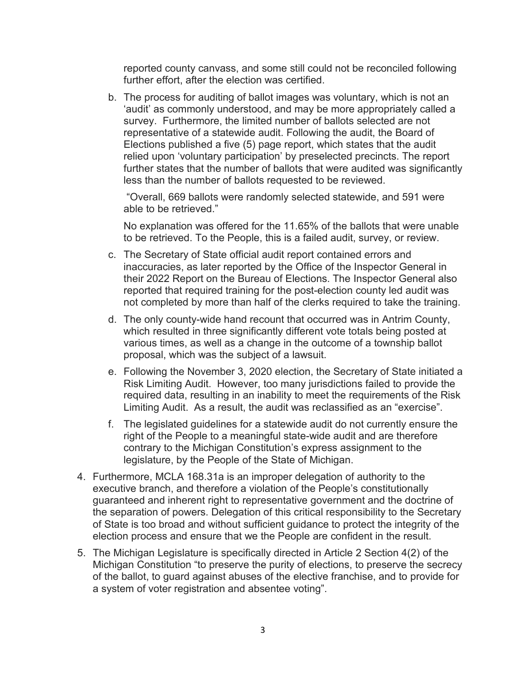reported county canvass, and some still could not be reconciled following further effort, after the election was certified.

b. The process for auditing of ballot images was voluntary, which is not an 'audit' as commonly understood, and may be more appropriately called a survey. Furthermore, the limited number of ballots selected are not representative of a statewide audit. Following the audit, the Board of Elections published a five (5) page report, which states that the audit relied upon 'voluntary participation' by preselected precincts. The report further states that the number of ballots that were audited was significantly less than the number of ballots requested to be reviewed.

"Overall, 669 ballots were randomly selected statewide, and 591 were able to be retrieved."

No explanation was offered for the 11.65% of the ballots that were unable to be retrieved. To the People, this is a failed audit, survey, or review.

- c. The Secretary of State official audit report contained errors and inaccuracies, as later reported by the Office of the Inspector General in their 2022 Report on the Bureau of Elections. The Inspector General also reported that required training for the post-election county led audit was not completed by more than half of the clerks required to take the training.
- d. The only county-wide hand recount that occurred was in Antrim County, which resulted in three significantly different vote totals being posted at various times, as well as a change in the outcome of a township ballot proposal, which was the subject of a lawsuit.
- e. Following the November 3, 2020 election, the Secretary of State initiated a Risk Limiting Audit. However, too many jurisdictions failed to provide the required data, resulting in an inability to meet the requirements of the Risk Limiting Audit. As a result, the audit was reclassified as an "exercise".
- f. The legislated guidelines for a statewide audit do not currently ensure the right of the People to a meaningful state-wide audit and are therefore contrary to the Michigan Constitution's express assignment to the legislature, by the People of the State of Michigan.
- 4. Furthermore, MCLA 168.31a is an improper delegation of authority to the executive branch, and therefore a violation of the People's constitutionally guaranteed and inherent right to representative government and the doctrine of the separation of powers. Delegation of this critical responsibility to the Secretary of State is too broad and without sufficient guidance to protect the integrity of the election process and ensure that we the People are confident in the result.
- 5. The Michigan Legislature is specifically directed in Article 2 Section 4(2) of the Michigan Constitution "to preserve the purity of elections, to preserve the secrecy of the ballot, to guard against abuses of the elective franchise, and to provide for a system of voter registration and absentee voting".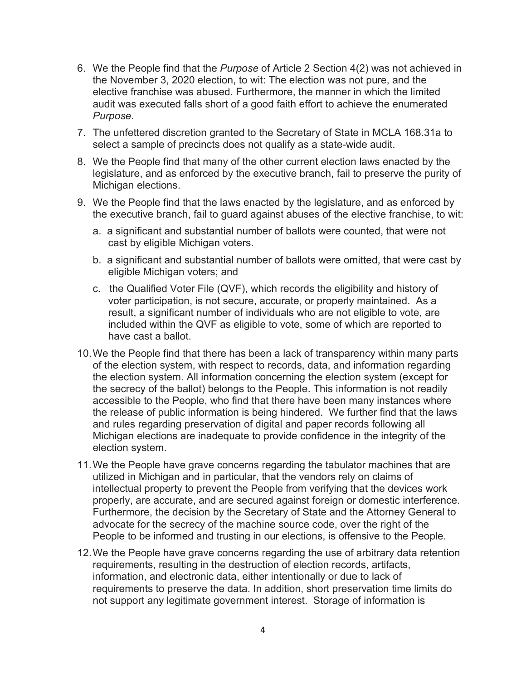- 6. We the People find that the *Purpose* of Article 2 Section 4(2) was not achieved in the November 3, 2020 election, to wit: The election was not pure, and the elective franchise was abused. Furthermore, the manner in which the limited audit was executed falls short of a good faith effort to achieve the enumerated *Purpose*.
- 7. The unfettered discretion granted to the Secretary of State in MCLA 168.31a to select a sample of precincts does not qualify as a state-wide audit.
- 8. We the People find that many of the other current election laws enacted by the legislature, and as enforced by the executive branch, fail to preserve the purity of Michigan elections.
- 9. We the People find that the laws enacted by the legislature, and as enforced by the executive branch, fail to guard against abuses of the elective franchise, to wit:
	- a. a significant and substantial number of ballots were counted, that were not cast by eligible Michigan voters.
	- b. a significant and substantial number of ballots were omitted, that were cast by eligible Michigan voters; and
	- c. the Qualified Voter File (QVF), which records the eligibility and history of voter participation, is not secure, accurate, or properly maintained. As a result, a significant number of individuals who are not eligible to vote, are included within the QVF as eligible to vote, some of which are reported to have cast a ballot.
- 10.We the People find that there has been a lack of transparency within many parts of the election system, with respect to records, data, and information regarding the election system. All information concerning the election system (except for the secrecy of the ballot) belongs to the People. This information is not readily accessible to the People, who find that there have been many instances where the release of public information is being hindered. We further find that the laws and rules regarding preservation of digital and paper records following all Michigan elections are inadequate to provide confidence in the integrity of the election system.
- 11.We the People have grave concerns regarding the tabulator machines that are utilized in Michigan and in particular, that the vendors rely on claims of intellectual property to prevent the People from verifying that the devices work properly, are accurate, and are secured against foreign or domestic interference. Furthermore, the decision by the Secretary of State and the Attorney General to advocate for the secrecy of the machine source code, over the right of the People to be informed and trusting in our elections, is offensive to the People.
- 12.We the People have grave concerns regarding the use of arbitrary data retention requirements, resulting in the destruction of election records, artifacts, information, and electronic data, either intentionally or due to lack of requirements to preserve the data. In addition, short preservation time limits do not support any legitimate government interest. Storage of information is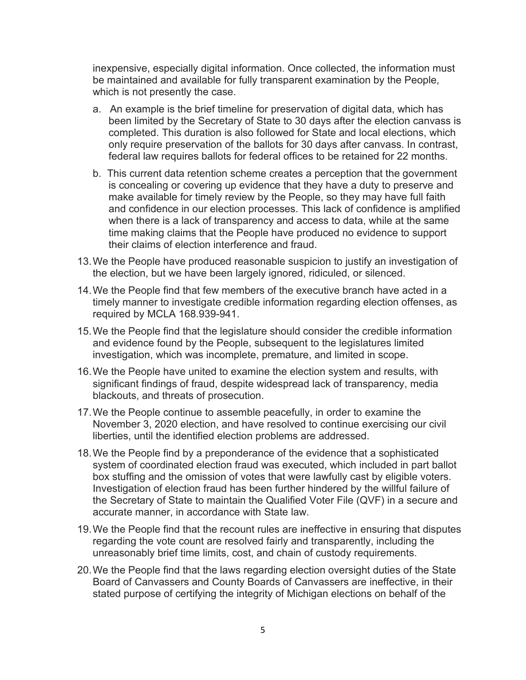inexpensive, especially digital information. Once collected, the information must be maintained and available for fully transparent examination by the People, which is not presently the case.

- a. An example is the brief timeline for preservation of digital data, which has been limited by the Secretary of State to 30 days after the election canvass is completed. This duration is also followed for State and local elections, which only require preservation of the ballots for 30 days after canvass. In contrast, federal law requires ballots for federal offices to be retained for 22 months.
- b. This current data retention scheme creates a perception that the government is concealing or covering up evidence that they have a duty to preserve and make available for timely review by the People, so they may have full faith and confidence in our election processes. This lack of confidence is amplified when there is a lack of transparency and access to data, while at the same time making claims that the People have produced no evidence to support their claims of election interference and fraud.
- 13.We the People have produced reasonable suspicion to justify an investigation of the election, but we have been largely ignored, ridiculed, or silenced.
- 14.We the People find that few members of the executive branch have acted in a timely manner to investigate credible information regarding election offenses, as required by MCLA 168.939-941.
- 15.We the People find that the legislature should consider the credible information and evidence found by the People, subsequent to the legislatures limited investigation, which was incomplete, premature, and limited in scope.
- 16.We the People have united to examine the election system and results, with significant findings of fraud, despite widespread lack of transparency, media blackouts, and threats of prosecution.
- 17.We the People continue to assemble peacefully, in order to examine the November 3, 2020 election, and have resolved to continue exercising our civil liberties, until the identified election problems are addressed.
- 18.We the People find by a preponderance of the evidence that a sophisticated system of coordinated election fraud was executed, which included in part ballot box stuffing and the omission of votes that were lawfully cast by eligible voters. Investigation of election fraud has been further hindered by the willful failure of the Secretary of State to maintain the Qualified Voter File (QVF) in a secure and accurate manner, in accordance with State law.
- 19.We the People find that the recount rules are ineffective in ensuring that disputes regarding the vote count are resolved fairly and transparently, including the unreasonably brief time limits, cost, and chain of custody requirements.
- 20.We the People find that the laws regarding election oversight duties of the State Board of Canvassers and County Boards of Canvassers are ineffective, in their stated purpose of certifying the integrity of Michigan elections on behalf of the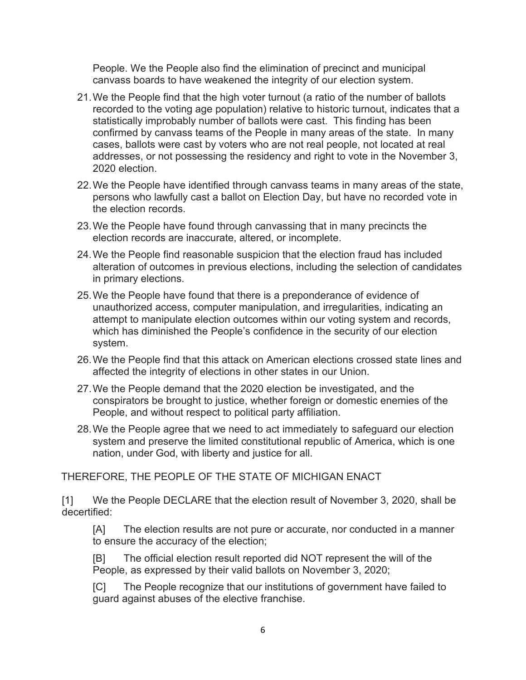People. We the People also find the elimination of precinct and municipal canvass boards to have weakened the integrity of our election system.

- 21.We the People find that the high voter turnout (a ratio of the number of ballots recorded to the voting age population) relative to historic turnout, indicates that a statistically improbably number of ballots were cast. This finding has been confirmed by canvass teams of the People in many areas of the state. In many cases, ballots were cast by voters who are not real people, not located at real addresses, or not possessing the residency and right to vote in the November 3, 2020 election.
- 22.We the People have identified through canvass teams in many areas of the state, persons who lawfully cast a ballot on Election Day, but have no recorded vote in the election records.
- 23.We the People have found through canvassing that in many precincts the election records are inaccurate, altered, or incomplete.
- 24.We the People find reasonable suspicion that the election fraud has included alteration of outcomes in previous elections, including the selection of candidates in primary elections.
- 25.We the People have found that there is a preponderance of evidence of unauthorized access, computer manipulation, and irregularities, indicating an attempt to manipulate election outcomes within our voting system and records, which has diminished the People's confidence in the security of our election system.
- 26.We the People find that this attack on American elections crossed state lines and affected the integrity of elections in other states in our Union.
- 27.We the People demand that the 2020 election be investigated, and the conspirators be brought to justice, whether foreign or domestic enemies of the People, and without respect to political party affiliation.
- 28.We the People agree that we need to act immediately to safeguard our election system and preserve the limited constitutional republic of America, which is one nation, under God, with liberty and justice for all.

THEREFORE, THE PEOPLE OF THE STATE OF MICHIGAN ENACT

[1] We the People DECLARE that the election result of November 3, 2020, shall be decertified:

[A] The election results are not pure or accurate, nor conducted in a manner to ensure the accuracy of the election;

[B] The official election result reported did NOT represent the will of the People, as expressed by their valid ballots on November 3, 2020;

[C] The People recognize that our institutions of government have failed to guard against abuses of the elective franchise.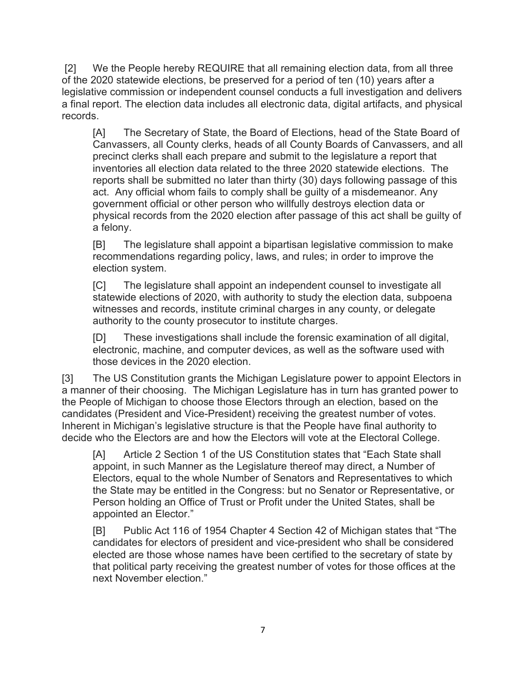[2] We the People hereby REQUIRE that all remaining election data, from all three of the 2020 statewide elections, be preserved for a period of ten (10) years after a legislative commission or independent counsel conducts a full investigation and delivers a final report. The election data includes all electronic data, digital artifacts, and physical records.

[A] The Secretary of State, the Board of Elections, head of the State Board of Canvassers, all County clerks, heads of all County Boards of Canvassers, and all precinct clerks shall each prepare and submit to the legislature a report that inventories all election data related to the three 2020 statewide elections. The reports shall be submitted no later than thirty (30) days following passage of this act. Any official whom fails to comply shall be guilty of a misdemeanor. Any government official or other person who willfully destroys election data or physical records from the 2020 election after passage of this act shall be guilty of a felony.

[B] The legislature shall appoint a bipartisan legislative commission to make recommendations regarding policy, laws, and rules; in order to improve the election system.

[C] The legislature shall appoint an independent counsel to investigate all statewide elections of 2020, with authority to study the election data, subpoena witnesses and records, institute criminal charges in any county, or delegate authority to the county prosecutor to institute charges.

[D] These investigations shall include the forensic examination of all digital, electronic, machine, and computer devices, as well as the software used with those devices in the 2020 election.

[3] The US Constitution grants the Michigan Legislature power to appoint Electors in a manner of their choosing. The Michigan Legislature has in turn has granted power to the People of Michigan to choose those Electors through an election, based on the candidates (President and Vice-President) receiving the greatest number of votes. Inherent in Michigan's legislative structure is that the People have final authority to decide who the Electors are and how the Electors will vote at the Electoral College.

[A] Article 2 Section 1 of the US Constitution states that "Each State shall appoint, in such Manner as the Legislature thereof may direct, a Number of Electors, equal to the whole Number of Senators and Representatives to which the State may be entitled in the Congress: but no Senator or Representative, or Person holding an Office of Trust or Profit under the United States, shall be appointed an Elector."

[B] Public Act 116 of 1954 Chapter 4 Section 42 of Michigan states that "The candidates for electors of president and vice-president who shall be considered elected are those whose names have been certified to the secretary of state by that political party receiving the greatest number of votes for those offices at the next November election."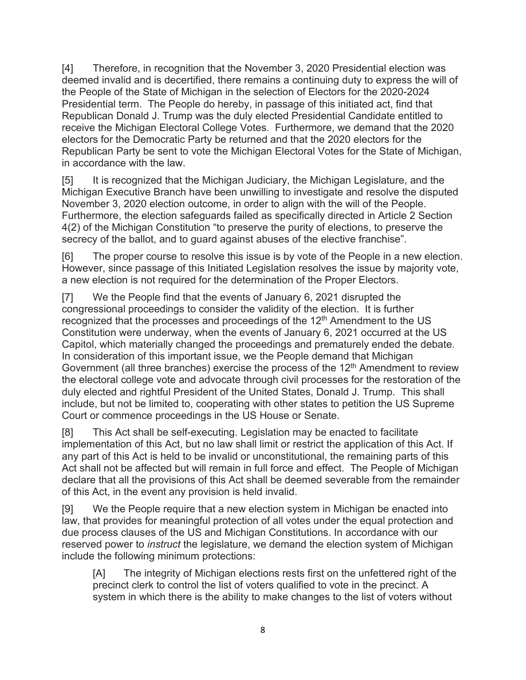[4] Therefore, in recognition that the November 3, 2020 Presidential election was deemed invalid and is decertified, there remains a continuing duty to express the will of the People of the State of Michigan in the selection of Electors for the 2020-2024 Presidential term. The People do hereby, in passage of this initiated act, find that Republican Donald J. Trump was the duly elected Presidential Candidate entitled to receive the Michigan Electoral College Votes. Furthermore, we demand that the 2020 electors for the Democratic Party be returned and that the 2020 electors for the Republican Party be sent to vote the Michigan Electoral Votes for the State of Michigan, in accordance with the law.

[5] It is recognized that the Michigan Judiciary, the Michigan Legislature, and the Michigan Executive Branch have been unwilling to investigate and resolve the disputed November 3, 2020 election outcome, in order to align with the will of the People. Furthermore, the election safeguards failed as specifically directed in Article 2 Section 4(2) of the Michigan Constitution "to preserve the purity of elections, to preserve the secrecy of the ballot, and to guard against abuses of the elective franchise".

[6] The proper course to resolve this issue is by vote of the People in a new election. However, since passage of this Initiated Legislation resolves the issue by majority vote, a new election is not required for the determination of the Proper Electors.

[7] We the People find that the events of January 6, 2021 disrupted the congressional proceedings to consider the validity of the election. It is further recognized that the processes and proceedings of the  $12<sup>th</sup>$  Amendment to the US Constitution were underway, when the events of January 6, 2021 occurred at the US Capitol, which materially changed the proceedings and prematurely ended the debate. In consideration of this important issue, we the People demand that Michigan Government (all three branches) exercise the process of the 12<sup>th</sup> Amendment to review the electoral college vote and advocate through civil processes for the restoration of the duly elected and rightful President of the United States, Donald J. Trump. This shall include, but not be limited to, cooperating with other states to petition the US Supreme Court or commence proceedings in the US House or Senate.

[8] This Act shall be self-executing. Legislation may be enacted to facilitate implementation of this Act, but no law shall limit or restrict the application of this Act. If any part of this Act is held to be invalid or unconstitutional, the remaining parts of this Act shall not be affected but will remain in full force and effect. The People of Michigan declare that all the provisions of this Act shall be deemed severable from the remainder of this Act, in the event any provision is held invalid.

[9] We the People require that a new election system in Michigan be enacted into law, that provides for meaningful protection of all votes under the equal protection and due process clauses of the US and Michigan Constitutions. In accordance with our reserved power to *instruct* the legislature, we demand the election system of Michigan include the following minimum protections:

[A] The integrity of Michigan elections rests first on the unfettered right of the precinct clerk to control the list of voters qualified to vote in the precinct. A system in which there is the ability to make changes to the list of voters without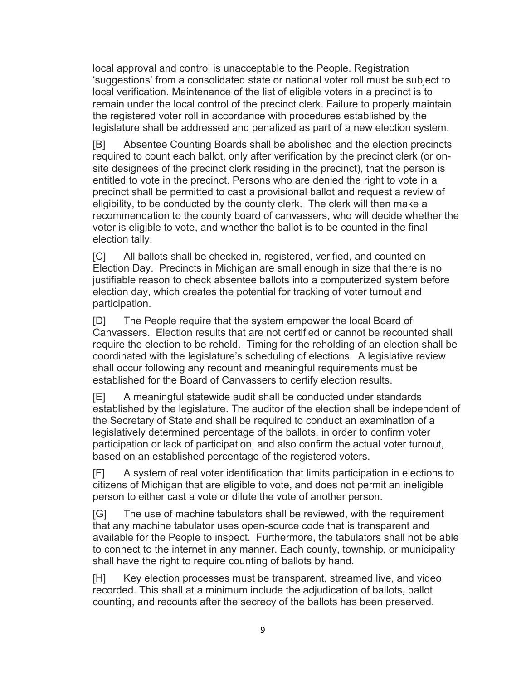local approval and control is unacceptable to the People. Registration 'suggestions' from a consolidated state or national voter roll must be subject to local verification. Maintenance of the list of eligible voters in a precinct is to remain under the local control of the precinct clerk. Failure to properly maintain the registered voter roll in accordance with procedures established by the legislature shall be addressed and penalized as part of a new election system.

[B] Absentee Counting Boards shall be abolished and the election precincts required to count each ballot, only after verification by the precinct clerk (or onsite designees of the precinct clerk residing in the precinct), that the person is entitled to vote in the precinct. Persons who are denied the right to vote in a precinct shall be permitted to cast a provisional ballot and request a review of eligibility, to be conducted by the county clerk. The clerk will then make a recommendation to the county board of canvassers, who will decide whether the voter is eligible to vote, and whether the ballot is to be counted in the final election tally.

[C] All ballots shall be checked in, registered, verified, and counted on Election Day. Precincts in Michigan are small enough in size that there is no justifiable reason to check absentee ballots into a computerized system before election day, which creates the potential for tracking of voter turnout and participation.

[D] The People require that the system empower the local Board of Canvassers. Election results that are not certified or cannot be recounted shall require the election to be reheld. Timing for the reholding of an election shall be coordinated with the legislature's scheduling of elections. A legislative review shall occur following any recount and meaningful requirements must be established for the Board of Canvassers to certify election results.

[E] A meaningful statewide audit shall be conducted under standards established by the legislature. The auditor of the election shall be independent of the Secretary of State and shall be required to conduct an examination of a legislatively determined percentage of the ballots, in order to confirm voter participation or lack of participation, and also confirm the actual voter turnout, based on an established percentage of the registered voters.

[F] A system of real voter identification that limits participation in elections to citizens of Michigan that are eligible to vote, and does not permit an ineligible person to either cast a vote or dilute the vote of another person.

[G] The use of machine tabulators shall be reviewed, with the requirement that any machine tabulator uses open-source code that is transparent and available for the People to inspect. Furthermore, the tabulators shall not be able to connect to the internet in any manner. Each county, township, or municipality shall have the right to require counting of ballots by hand.

[H] Key election processes must be transparent, streamed live, and video recorded. This shall at a minimum include the adjudication of ballots, ballot counting, and recounts after the secrecy of the ballots has been preserved.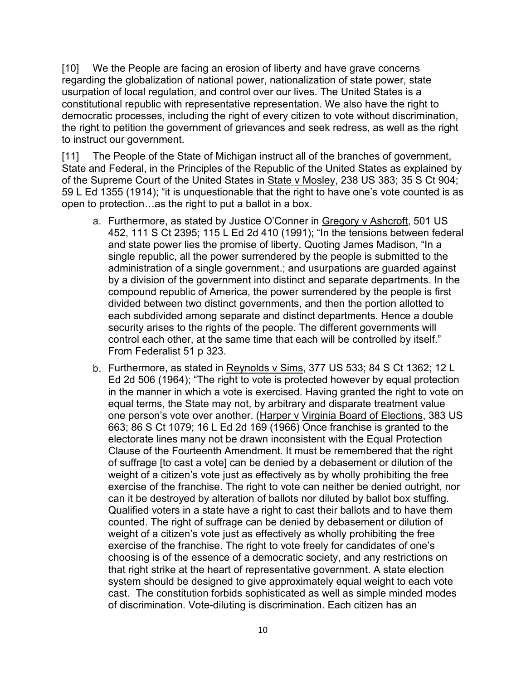[10] We the People are facing an erosion of liberty and have grave concerns regarding the globalization of national power, nationalization of state power, state usurpation of local regulation, and control over our lives. The United States is a constitutional republic with representative representation. We also have the right to democratic processes, including the right of every citizen to vote without discrimination, the right to petition the government of grievances and seek redress, as well as the right to instruct our government.

[11] The People of the State of Michigan instruct all of the branches of government, State and Federal, in the Principles of the Republic of the United States as explained by of the Supreme Court of the United States in State v Mosley, 238 US 383; 35 S Ct 904; 59 L Ed 1355 (1914); "it is unquestionable that the right to have one's vote counted is as open to protection…as the right to put a ballot in a box.

- a. Furthermore, as stated by Justice O'Conner in Gregory v Ashcroft, 501 US 452, 111 S Ct 2395; 115 L Ed 2d 410 (1991); "In the tensions between federal and state power lies the promise of liberty. Quoting James Madison, "In a single republic, all the power surrendered by the people is submitted to the administration of a single government.; and usurpations are guarded against by a division of the government into distinct and separate departments. In the compound republic of America, the power surrendered by the people is first divided between two distinct governments, and then the portion allotted to each subdivided among separate and distinct departments. Hence a double security arises to the rights of the people. The different governments will control each other, at the same time that each will be controlled by itself." From Federalist 51 p 323.
- b. Furthermore, as stated in Reynolds v Sims, 377 US 533; 84 S Ct 1362; 12 L Ed 2d 506 (1964); "The right to vote is protected however by equal protection in the manner in which a vote is exercised. Having granted the right to vote on equal terms, the State may not, by arbitrary and disparate treatment value one person's vote over another. (Harper v Virginia Board of Elections, 383 US 663; 86 S Ct 1079; 16 L Ed 2d 169 (1966) Once franchise is granted to the electorate lines many not be drawn inconsistent with the Equal Protection Clause of the Fourteenth Amendment. It must be remembered that the right of suffrage [to cast a vote] can be denied by a debasement or dilution of the weight of a citizen's vote just as effectively as by wholly prohibiting the free exercise of the franchise. The right to vote can neither be denied outright, nor can it be destroyed by alteration of ballots nor diluted by ballot box stuffing. Qualified voters in a state have a right to cast their ballots and to have them counted. The right of suffrage can be denied by debasement or dilution of weight of a citizen's vote just as effectively as wholly prohibiting the free exercise of the franchise. The right to vote freely for candidates of one's choosing is of the essence of a democratic society, and any restrictions on that right strike at the heart of representative government. A state election system should be designed to give approximately equal weight to each vote cast. The constitution forbids sophisticated as well as simple minded modes of discrimination. Vote-diluting is discrimination. Each citizen has an